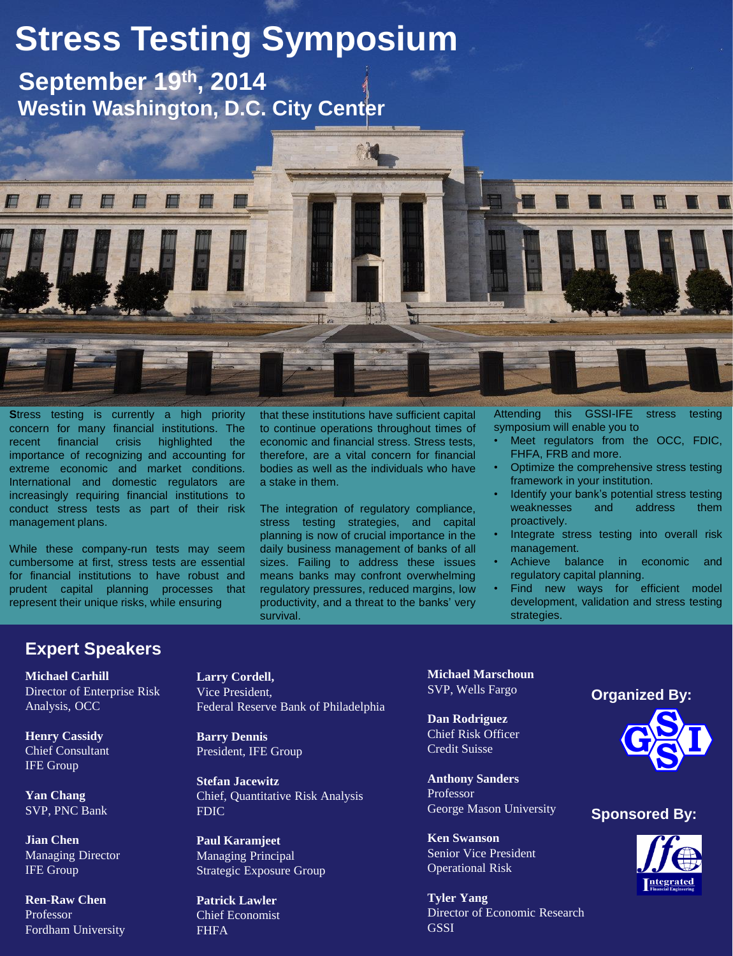# **Stress Testing Symposium**

 **Westin Washington, D.C. City Center September 19th, 2014**



**Stress testing is currently a high priority** concern for many financial institutions. The recent financial crisis highlighted the importance of recognizing and accounting for extreme economic and market conditions. International and domestic regulators are increasingly requiring financial institutions to conduct stress tests as part of their risk management plans.

While these company-run tests may seem cumbersome at first, stress tests are essential for financial institutions to have robust and prudent capital planning processes that represent their unique risks, while ensuring

that these institutions have sufficient capital to continue operations throughout times of economic and financial stress. Stress tests, therefore, are a vital concern for financial bodies as well as the individuals who have a stake in them.

The integration of regulatory compliance, stress testing strategies, and capital planning is now of crucial importance in the daily business management of banks of all sizes. Failing to address these issues means banks may confront overwhelming regulatory pressures, reduced margins, low productivity, and a threat to the banks' very survival.

Attending this GSSI-IFE stress testing symposium will enable you to

- Meet regulators from the OCC, FDIC, FHFA, FRB and more.
- Optimize the comprehensive stress testing framework in your institution.
- Identify your bank's potential stress testing weaknesses and address them proactively.
- Integrate stress testing into overall risk management.
- Achieve balance in economic and regulatory capital planning.
- Find new ways for efficient model development, validation and stress testing strategies.

## **Expert Speakers**

**Michael Carhill** Director of Enterprise Risk Analysis, OCC

**Henry Cassidy** Chief Consultant IFE Group

**Yan Chang** SVP, PNC Bank

**Jian Chen** Managing Director IFE Group

**Ren-Raw Chen** Professor Fordham University **Larry Cordell,**  Vice President, Federal Reserve Bank of Philadelphia

**Barry Dennis** President, IFE Group

**Stefan Jacewitz** Chief, Quantitative Risk Analysis FDIC

**Paul Karamjeet** Managing Principal Strategic Exposure Group

**Patrick Lawler** Chief Economist FHFA

**Michael Marschoun** SVP, Wells Fargo

**Dan Rodriguez** Chief Risk Officer Credit Suisse

**Anthony Sanders** Professor George Mason University

**Ken Swanson** Senior Vice President Operational Risk

**Tyler Yang** Director of Economic Research **GSSI** 



### **Sponsored By:**